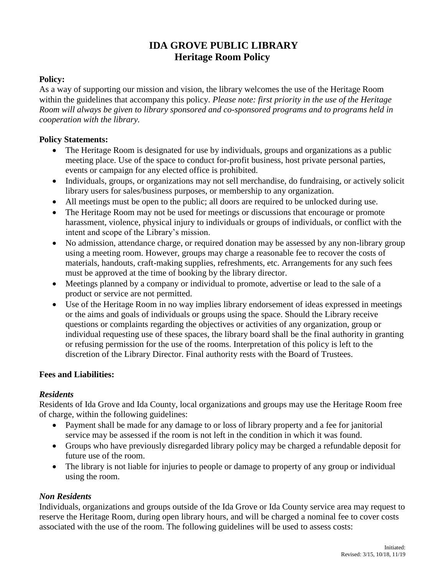# **IDA GROVE PUBLIC LIBRARY Heritage Room Policy**

### **Policy:**

As a way of supporting our mission and vision, the library welcomes the use of the Heritage Room within the guidelines that accompany this policy. *Please note: first priority in the use of the Heritage Room will always be given to library sponsored and co-sponsored programs and to programs held in cooperation with the library.*

#### **Policy Statements:**

- The Heritage Room is designated for use by individuals, groups and organizations as a public meeting place. Use of the space to conduct for-profit business, host private personal parties, events or campaign for any elected office is prohibited.
- Individuals, groups, or organizations may not sell merchandise, do fundraising, or actively solicit library users for sales/business purposes, or membership to any organization.
- All meetings must be open to the public; all doors are required to be unlocked during use.
- The Heritage Room may not be used for meetings or discussions that encourage or promote harassment, violence, physical injury to individuals or groups of individuals, or conflict with the intent and scope of the Library's mission.
- No admission, attendance charge, or required donation may be assessed by any non-library group using a meeting room. However, groups may charge a reasonable fee to recover the costs of materials, handouts, craft-making supplies, refreshments, etc. Arrangements for any such fees must be approved at the time of booking by the library director.
- Meetings planned by a company or individual to promote, advertise or lead to the sale of a product or service are not permitted.
- Use of the Heritage Room in no way implies library endorsement of ideas expressed in meetings or the aims and goals of individuals or groups using the space. Should the Library receive questions or complaints regarding the objectives or activities of any organization, group or individual requesting use of these spaces, the library board shall be the final authority in granting or refusing permission for the use of the rooms. Interpretation of this policy is left to the discretion of the Library Director. Final authority rests with the Board of Trustees.

#### **Fees and Liabilities:**

#### *Residents*

Residents of Ida Grove and Ida County, local organizations and groups may use the Heritage Room free of charge, within the following guidelines:

- Payment shall be made for any damage to or loss of library property and a fee for janitorial service may be assessed if the room is not left in the condition in which it was found.
- Groups who have previously disregarded library policy may be charged a refundable deposit for future use of the room.
- The library is not liable for injuries to people or damage to property of any group or individual using the room.

#### *Non Residents*

Individuals, organizations and groups outside of the Ida Grove or Ida County service area may request to reserve the Heritage Room, during open library hours, and will be charged a nominal fee to cover costs associated with the use of the room. The following guidelines will be used to assess costs: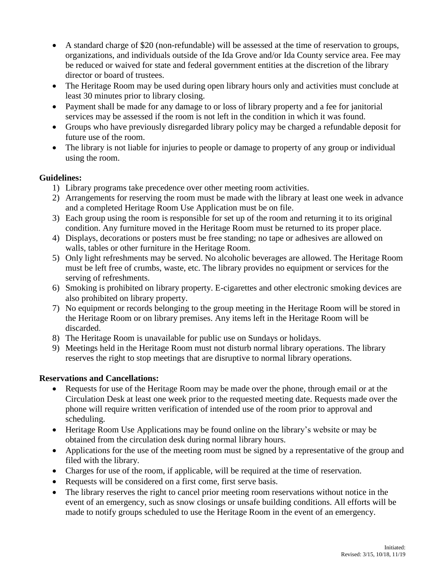- A standard charge of \$20 (non-refundable) will be assessed at the time of reservation to groups, organizations, and individuals outside of the Ida Grove and/or Ida County service area. Fee may be reduced or waived for state and federal government entities at the discretion of the library director or board of trustees.
- The Heritage Room may be used during open library hours only and activities must conclude at least 30 minutes prior to library closing.
- Payment shall be made for any damage to or loss of library property and a fee for janitorial services may be assessed if the room is not left in the condition in which it was found.
- Groups who have previously disregarded library policy may be charged a refundable deposit for future use of the room.
- The library is not liable for injuries to people or damage to property of any group or individual using the room.

## **Guidelines:**

- 1) Library programs take precedence over other meeting room activities.
- 2) Arrangements for reserving the room must be made with the library at least one week in advance and a completed Heritage Room Use Application must be on file.
- 3) Each group using the room is responsible for set up of the room and returning it to its original condition. Any furniture moved in the Heritage Room must be returned to its proper place.
- 4) Displays, decorations or posters must be free standing; no tape or adhesives are allowed on walls, tables or other furniture in the Heritage Room.
- 5) Only light refreshments may be served. No alcoholic beverages are allowed. The Heritage Room must be left free of crumbs, waste, etc. The library provides no equipment or services for the serving of refreshments.
- 6) Smoking is prohibited on library property. E-cigarettes and other electronic smoking devices are also prohibited on library property.
- 7) No equipment or records belonging to the group meeting in the Heritage Room will be stored in the Heritage Room or on library premises. Any items left in the Heritage Room will be discarded.
- 8) The Heritage Room is unavailable for public use on Sundays or holidays.
- 9) Meetings held in the Heritage Room must not disturb normal library operations. The library reserves the right to stop meetings that are disruptive to normal library operations.

#### **Reservations and Cancellations:**

- Requests for use of the Heritage Room may be made over the phone, through email or at the Circulation Desk at least one week prior to the requested meeting date. Requests made over the phone will require written verification of intended use of the room prior to approval and scheduling.
- Heritage Room Use Applications may be found online on the library's website or may be obtained from the circulation desk during normal library hours.
- Applications for the use of the meeting room must be signed by a representative of the group and filed with the library.
- Charges for use of the room, if applicable, will be required at the time of reservation.
- Requests will be considered on a first come, first serve basis.
- The library reserves the right to cancel prior meeting room reservations without notice in the event of an emergency, such as snow closings or unsafe building conditions. All efforts will be made to notify groups scheduled to use the Heritage Room in the event of an emergency.